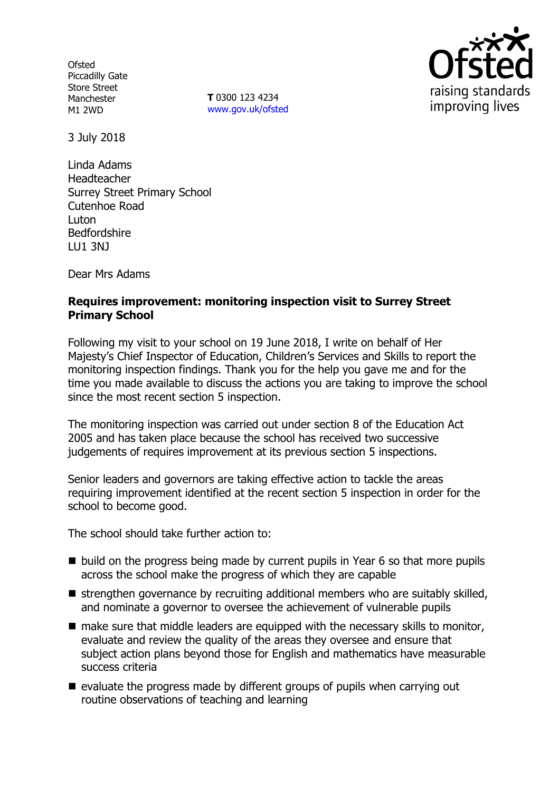**Ofsted** Piccadilly Gate Store Street Manchester M1 2WD

**T** 0300 123 4234 www.gov.uk/ofsted



3 July 2018

Linda Adams Headteacher Surrey Street Primary School Cutenhoe Road Luton Bedfordshire LU1 3NJ

Dear Mrs Adams

## **Requires improvement: monitoring inspection visit to Surrey Street Primary School**

Following my visit to your school on 19 June 2018, I write on behalf of Her Majesty's Chief Inspector of Education, Children's Services and Skills to report the monitoring inspection findings. Thank you for the help you gave me and for the time you made available to discuss the actions you are taking to improve the school since the most recent section 5 inspection.

The monitoring inspection was carried out under section 8 of the Education Act 2005 and has taken place because the school has received two successive judgements of requires improvement at its previous section 5 inspections.

Senior leaders and governors are taking effective action to tackle the areas requiring improvement identified at the recent section 5 inspection in order for the school to become good.

The school should take further action to:

- $\blacksquare$  build on the progress being made by current pupils in Year 6 so that more pupils across the school make the progress of which they are capable
- $\blacksquare$  strengthen governance by recruiting additional members who are suitably skilled, and nominate a governor to oversee the achievement of vulnerable pupils
- $\blacksquare$  make sure that middle leaders are equipped with the necessary skills to monitor, evaluate and review the quality of the areas they oversee and ensure that subject action plans beyond those for English and mathematics have measurable success criteria
- $\blacksquare$  evaluate the progress made by different groups of pupils when carrying out routine observations of teaching and learning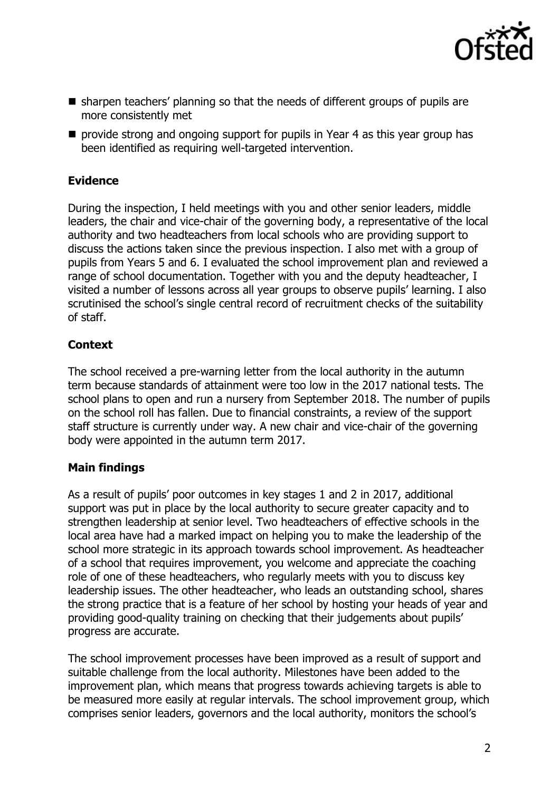

- sharpen teachers' planning so that the needs of different groups of pupils are more consistently met
- **P** provide strong and ongoing support for pupils in Year 4 as this year group has been identified as requiring well-targeted intervention.

# **Evidence**

During the inspection, I held meetings with you and other senior leaders, middle leaders, the chair and vice-chair of the governing body, a representative of the local authority and two headteachers from local schools who are providing support to discuss the actions taken since the previous inspection. I also met with a group of pupils from Years 5 and 6. I evaluated the school improvement plan and reviewed a range of school documentation. Together with you and the deputy headteacher, I visited a number of lessons across all year groups to observe pupils' learning. I also scrutinised the school's single central record of recruitment checks of the suitability of staff.

# **Context**

The school received a pre-warning letter from the local authority in the autumn term because standards of attainment were too low in the 2017 national tests. The school plans to open and run a nursery from September 2018. The number of pupils on the school roll has fallen. Due to financial constraints, a review of the support staff structure is currently under way. A new chair and vice-chair of the governing body were appointed in the autumn term 2017.

### **Main findings**

As a result of pupils' poor outcomes in key stages 1 and 2 in 2017, additional support was put in place by the local authority to secure greater capacity and to strengthen leadership at senior level. Two headteachers of effective schools in the local area have had a marked impact on helping you to make the leadership of the school more strategic in its approach towards school improvement. As headteacher of a school that requires improvement, you welcome and appreciate the coaching role of one of these headteachers, who regularly meets with you to discuss key leadership issues. The other headteacher, who leads an outstanding school, shares the strong practice that is a feature of her school by hosting your heads of year and providing good-quality training on checking that their judgements about pupils' progress are accurate.

The school improvement processes have been improved as a result of support and suitable challenge from the local authority. Milestones have been added to the improvement plan, which means that progress towards achieving targets is able to be measured more easily at regular intervals. The school improvement group, which comprises senior leaders, governors and the local authority, monitors the school's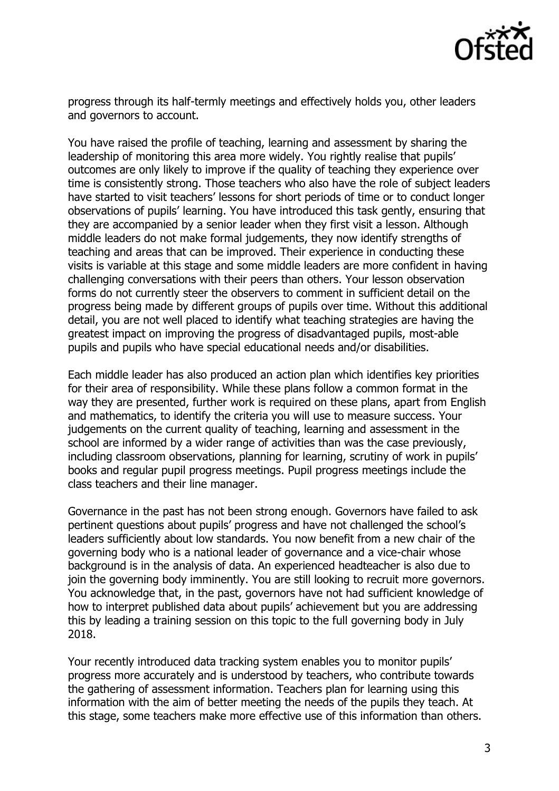

progress through its half-termly meetings and effectively holds you, other leaders and governors to account.

You have raised the profile of teaching, learning and assessment by sharing the leadership of monitoring this area more widely. You rightly realise that pupils' outcomes are only likely to improve if the quality of teaching they experience over time is consistently strong. Those teachers who also have the role of subject leaders have started to visit teachers' lessons for short periods of time or to conduct longer observations of pupils' learning. You have introduced this task gently, ensuring that they are accompanied by a senior leader when they first visit a lesson. Although middle leaders do not make formal judgements, they now identify strengths of teaching and areas that can be improved. Their experience in conducting these visits is variable at this stage and some middle leaders are more confident in having challenging conversations with their peers than others. Your lesson observation forms do not currently steer the observers to comment in sufficient detail on the progress being made by different groups of pupils over time. Without this additional detail, you are not well placed to identify what teaching strategies are having the greatest impact on improving the progress of disadvantaged pupils, most-able pupils and pupils who have special educational needs and/or disabilities.

Each middle leader has also produced an action plan which identifies key priorities for their area of responsibility. While these plans follow a common format in the way they are presented, further work is required on these plans, apart from English and mathematics, to identify the criteria you will use to measure success. Your judgements on the current quality of teaching, learning and assessment in the school are informed by a wider range of activities than was the case previously, including classroom observations, planning for learning, scrutiny of work in pupils' books and regular pupil progress meetings. Pupil progress meetings include the class teachers and their line manager.

Governance in the past has not been strong enough. Governors have failed to ask pertinent questions about pupils' progress and have not challenged the school's leaders sufficiently about low standards. You now benefit from a new chair of the governing body who is a national leader of governance and a vice-chair whose background is in the analysis of data. An experienced headteacher is also due to join the governing body imminently. You are still looking to recruit more governors. You acknowledge that, in the past, governors have not had sufficient knowledge of how to interpret published data about pupils' achievement but you are addressing this by leading a training session on this topic to the full governing body in July 2018.

Your recently introduced data tracking system enables you to monitor pupils' progress more accurately and is understood by teachers, who contribute towards the gathering of assessment information. Teachers plan for learning using this information with the aim of better meeting the needs of the pupils they teach. At this stage, some teachers make more effective use of this information than others.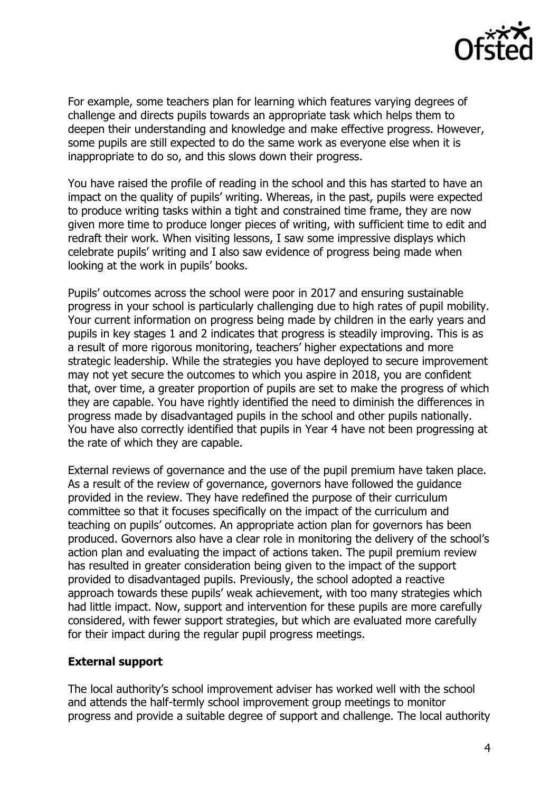

For example, some teachers plan for learning which features varying degrees of challenge and directs pupils towards an appropriate task which helps them to deepen their understanding and knowledge and make effective progress. However, some pupils are still expected to do the same work as everyone else when it is inappropriate to do so, and this slows down their progress.

You have raised the profile of reading in the school and this has started to have an impact on the quality of pupils' writing. Whereas, in the past, pupils were expected to produce writing tasks within a tight and constrained time frame, they are now given more time to produce longer pieces of writing, with sufficient time to edit and redraft their work. When visiting lessons, I saw some impressive displays which celebrate pupils' writing and I also saw evidence of progress being made when looking at the work in pupils' books.

Pupils' outcomes across the school were poor in 2017 and ensuring sustainable progress in your school is particularly challenging due to high rates of pupil mobility. Your current information on progress being made by children in the early years and pupils in key stages 1 and 2 indicates that progress is steadily improving. This is as a result of more rigorous monitoring, teachers' higher expectations and more strategic leadership. While the strategies you have deployed to secure improvement may not yet secure the outcomes to which you aspire in 2018, you are confident that, over time, a greater proportion of pupils are set to make the progress of which they are capable. You have rightly identified the need to diminish the differences in progress made by disadvantaged pupils in the school and other pupils nationally. You have also correctly identified that pupils in Year 4 have not been progressing at the rate of which they are capable.

External reviews of governance and the use of the pupil premium have taken place. As a result of the review of governance, governors have followed the guidance provided in the review. They have redefined the purpose of their curriculum committee so that it focuses specifically on the impact of the curriculum and teaching on pupils' outcomes. An appropriate action plan for governors has been produced. Governors also have a clear role in monitoring the delivery of the school's action plan and evaluating the impact of actions taken. The pupil premium review has resulted in greater consideration being given to the impact of the support provided to disadvantaged pupils. Previously, the school adopted a reactive approach towards these pupils' weak achievement, with too many strategies which had little impact. Now, support and intervention for these pupils are more carefully considered, with fewer support strategies, but which are evaluated more carefully for their impact during the regular pupil progress meetings.

### **External support**

The local authority's school improvement adviser has worked well with the school and attends the half-termly school improvement group meetings to monitor progress and provide a suitable degree of support and challenge. The local authority